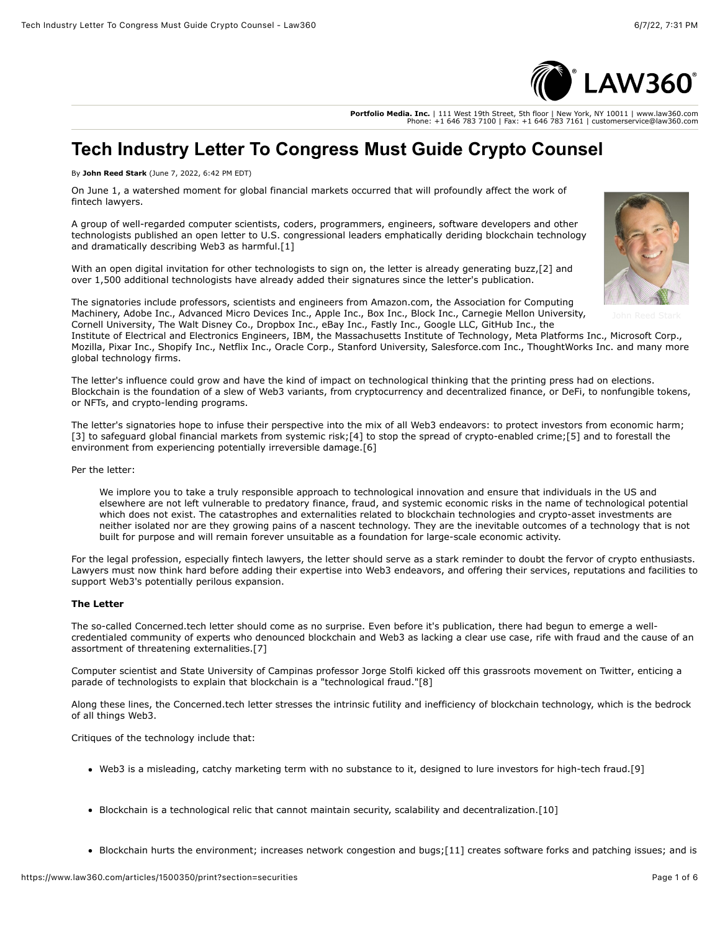

**Portfolio Media. Inc.** | 111 West 19th Street, 5th floor | New York, NY 10011 | www.law360.com Phone: +1 646 783 7100 | Fax: +1 646 783 7161 | customerservice@law360.com

# **Tech Industry Letter To Congress Must Guide Crypto Counsel**

By **John Reed Stark** (June 7, 2022, 6:42 PM EDT)

On June 1, a watershed moment for global financial markets occurred that will profoundly affect the work of fintech lawyers.

A group of well-regarded computer scientists, coders, programmers, engineers, software developers and other technologists published an open letter to U.S. congressional leaders emphatically deriding blockchain technology and dramatically describing Web3 as harmful.[1]

With an open digital invitation for other technologists to sign on, the letter is already generating buzz,[2] and over 1,500 additional technologists have already added their signatures since the letter's publication.



The signatories include professors, scientists and engineers from [Amazon.com,](https://www.law360.com/companies/amazon-com-inc) the Association for Computing Machinery, [Adobe Inc](https://www.law360.com/companies/adobe-inc)., [Advanced Micro Devices Inc](https://www.law360.com/companies/advanced-micro-devices-inc)., [Apple Inc.](https://www.law360.com/companies/apple-inc), [Box Inc.](https://www.law360.com/companies/box-inc), Block Inc., Carnegie Mellon University, [Cornell University](https://www.law360.com/companies/cornell-university), [The Walt Disney Co](https://www.law360.com/companies/the-walt-disney-co)., [Dropbox Inc.](https://www.law360.com/companies/dropbox-inc), [eBay Inc.](https://www.law360.com/companies/ebay-inc), [Fastly Inc.](https://www.law360.com/companies/fastly-inc), [Google LLC](https://www.law360.com/companies/google-llc), [GitHub Inc](https://www.law360.com/companies/github-inc)., the

[Institute of Electrical and Electronics Engineers,](https://www.law360.com/companies/the-institute-of-electrical-electronics-engineers-inc) [IBM](https://www.law360.com/companies/international-business-machines-corp), the [Massachusetts Institute of Technology,](https://www.law360.com/companies/massachusetts-institute-of-technology) [Meta Platforms Inc](https://www.law360.com/companies/meta-platforms-inc)., [Microsoft Corp](https://www.law360.com/companies/microsoft-corp)., Mozilla, [Pixar Inc.](https://www.law360.com/companies/pixar-inc), Shopify Inc., [Netflix Inc](https://www.law360.com/companies/netflix-inc)., [Oracle Corp](https://www.law360.com/companies/oracle-corp)., Stanford University, [Salesforce.com Inc.](https://www.law360.com/companies/salesforce-com-inc), [ThoughtWorks Inc](https://www.law360.com/companies/thoughtworks-inc). and many more global technology firms.

The letter's influence could grow and have the kind of impact on technological thinking that the printing press had on elections. Blockchain is the foundation of a slew of Web3 variants, from cryptocurrency and decentralized finance, or DeFi, to nonfungible tokens, or NFTs, and crypto-lending programs.

The letter's signatories hope to infuse their perspective into the mix of all Web3 endeavors: to protect investors from economic harm; [3] to safeguard global financial markets from systemic risk;[4] to stop the spread of crypto-enabled crime;[5] and to forestall the environment from experiencing potentially irreversible damage.[6]

Per the letter:

We implore you to take a truly responsible approach to technological innovation and ensure that individuals in the US and elsewhere are not left vulnerable to predatory finance, fraud, and systemic economic risks in the name of technological potential which does not exist. The catastrophes and externalities related to blockchain technologies and crypto-asset investments are neither isolated nor are they growing pains of a nascent technology. They are the inevitable outcomes of a technology that is not built for purpose and will remain forever unsuitable as a foundation for large-scale economic activity.

For the legal profession, especially fintech lawyers, the letter should serve as a stark reminder to doubt the fervor of crypto enthusiasts. Lawyers must now think hard before adding their expertise into Web3 endeavors, and offering their services, reputations and facilities to support Web3's potentially perilous expansion.

# **The Letter**

The so-called Concerned.tech letter should come as no surprise. Even before it's publication, there had begun to emerge a wellcredentialed community of experts who denounced blockchain and Web3 as lacking a clear use case, rife with fraud and the cause of an assortment of threatening externalities.[7]

Computer scientist and State University of Campinas professor Jorge Stolfi kicked off this grassroots movement on [Twitter,](https://www.law360.com/companies/twitter-inc) enticing a parade of technologists to explain that blockchain is a "technological fraud."[8]

Along these lines, the Concerned.tech letter stresses the intrinsic futility and inefficiency of blockchain technology, which is the bedrock of all things Web3.

Critiques of the technology include that:

- Web3 is a misleading, catchy marketing term with no substance to it, designed to lure investors for high-tech fraud.[9]
- Blockchain is a technological relic that cannot maintain security, scalability and decentralization.[10]
- Blockchain hurts the environment; increases network congestion and bugs;[11] creates software forks and patching issues; and is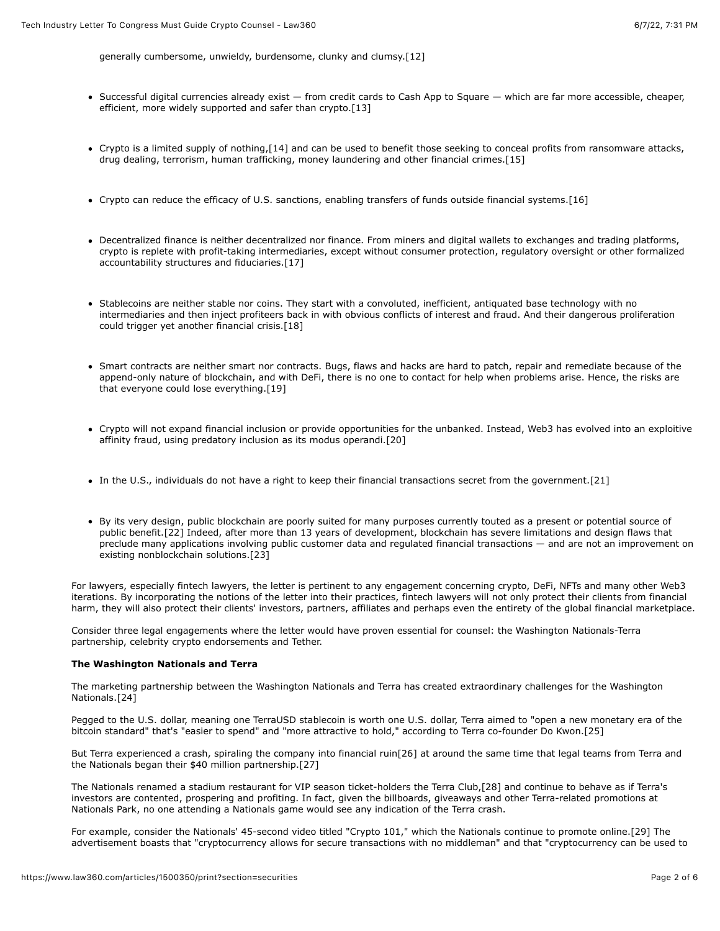generally cumbersome, unwieldy, burdensome, clunky and clumsy.[12]

- Successful digital currencies already exist from credit cards to [Cash App](https://www.law360.com/companies/cash-app) to Square which are far more accessible, cheaper, efficient, more widely supported and safer than crypto.[13]
- Crypto is a limited supply of nothing,[14] and can be used to benefit those seeking to conceal profits from ransomware attacks, drug dealing, terrorism, human trafficking, money laundering and other financial crimes.[15]
- Crypto can reduce the efficacy of U.S. sanctions, enabling transfers of funds outside financial systems.[16]
- Decentralized finance is neither decentralized nor finance. From miners and digital wallets to exchanges and trading platforms, crypto is replete with profit-taking intermediaries, except without consumer protection, regulatory oversight or other formalized accountability structures and fiduciaries.[17]
- Stablecoins are neither stable nor coins. They start with a convoluted, inefficient, antiquated base technology with no intermediaries and then inject profiteers back in with obvious conflicts of interest and fraud. And their dangerous proliferation could trigger yet another financial crisis.[18]
- Smart contracts are neither smart nor contracts. Bugs, flaws and hacks are hard to patch, repair and remediate because of the append-only nature of blockchain, and with DeFi, there is no one to contact for help when problems arise. Hence, the risks are that everyone could lose everything.[19]
- Crypto will not expand financial inclusion or provide opportunities for the unbanked. Instead, Web3 has evolved into an exploitive affinity fraud, using predatory inclusion as its modus operandi.[20]
- In the U.S., individuals do not have a right to keep their financial transactions secret from the government.[21]
- By its very design, public blockchain are poorly suited for many purposes currently touted as a present or potential source of public benefit.[22] Indeed, after more than 13 years of development, blockchain has severe limitations and design flaws that preclude many applications involving public customer data and regulated financial transactions — and are not an improvement on existing nonblockchain solutions.[23]

For lawyers, especially fintech lawyers, the letter is pertinent to any engagement concerning crypto, DeFi, NFTs and many other Web3 iterations. By incorporating the notions of the letter into their practices, fintech lawyers will not only protect their clients from financial harm, they will also protect their clients' investors, partners, affiliates and perhaps even the entirety of the global financial marketplace.

Consider three legal engagements where the letter would have proven essential for counsel: the [Washington Nationals](https://www.law360.com/companies/washington-nationals)-Terra partnership, celebrity crypto endorsements and Tether.

### **The Washington Nationals and Terra**

The marketing partnership between the Washington Nationals and Terra has created extraordinary challenges for the Washington Nationals.[24]

Pegged to the U.S. dollar, meaning one TerraUSD stablecoin is worth one U.S. dollar, Terra aimed to "open a new monetary era of the bitcoin standard" that's "easier to spend" and "more attractive to hold," according to Terra co-founder Do Kwon.[25]

But Terra experienced a crash, spiraling the company into financial ruin[26] at around the same time that legal teams from Terra and the Nationals began their \$40 million partnership.[27]

The Nationals renamed a stadium restaurant for VIP season ticket-holders the Terra Club,[28] and continue to behave as if Terra's investors are contented, prospering and profiting. In fact, given the billboards, giveaways and other Terra-related promotions at Nationals Park, no one attending a Nationals game would see any indication of the Terra crash.

For example, consider the Nationals' 45-second video titled "Crypto 101," which the Nationals continue to promote online.[29] The advertisement boasts that "cryptocurrency allows for secure transactions with no middleman" and that "cryptocurrency can be used to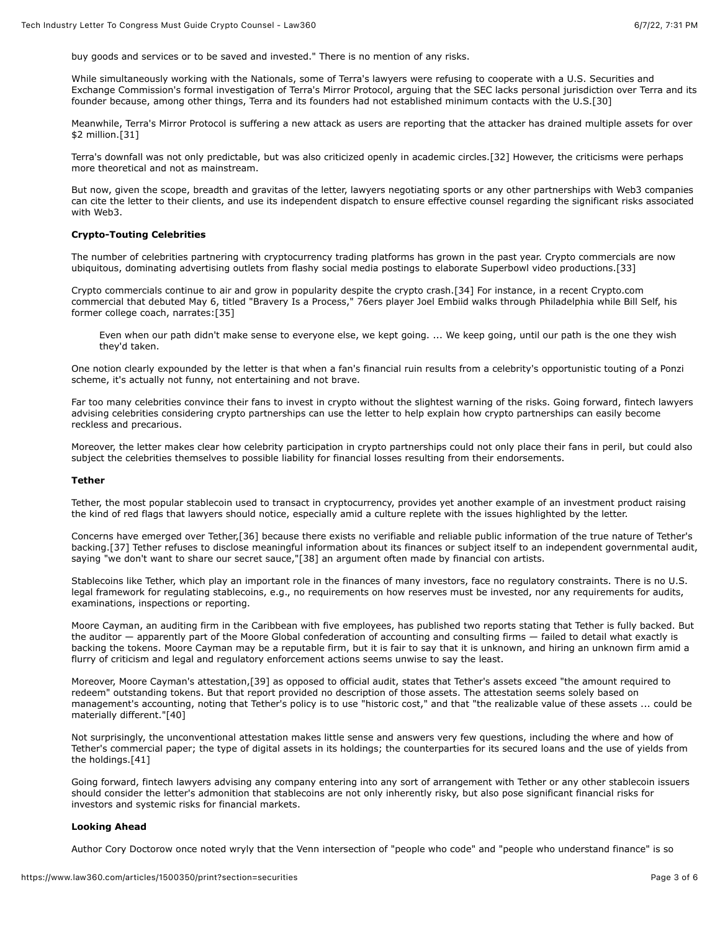buy goods and services or to be saved and invested." There is no mention of any risks.

While simultaneously working with the Nationals, some of Terra's lawyers were refusing to cooperate with a U.S. Securities and [Exchange Commission's formal investigation of Terra's Mirror Protocol, arguing that the SEC lacks personal jurisdiction over Terr](https://www.law360.com/agencies/u-s-securities-and-exchange-commission)a and its founder because, among other things, Terra and its founders had not established minimum contacts with the U.S.[30]

Meanwhile, Terra's Mirror Protocol is suffering a new attack as users are reporting that the attacker has drained multiple assets for over \$2 million.[31]

Terra's downfall was not only predictable, but was also criticized openly in academic circles.[32] However, the criticisms were perhaps more theoretical and not as mainstream.

But now, given the scope, breadth and gravitas of the letter, lawyers negotiating sports or any other partnerships with Web3 companies can cite the letter to their clients, and use its independent dispatch to ensure effective counsel regarding the significant risks associated with Web3.

### **Crypto-Touting Celebrities**

The number of celebrities partnering with cryptocurrency trading platforms has grown in the past year. Crypto commercials are now ubiquitous, dominating advertising outlets from flashy social media postings to elaborate Superbowl video productions.[33]

Crypto commercials continue to air and grow in popularity despite the crypto crash.[34] For instance, in a recent Crypto.com commercial that debuted May 6, titled "Bravery Is a Process," 76ers player Joel Embiid walks through Philadelphia while Bill Self, his former college coach, narrates:[35]

Even when our path didn't make sense to everyone else, we kept going. ... We keep going, until our path is the one they wish they'd taken.

One notion clearly expounded by the letter is that when a fan's financial ruin results from a celebrity's opportunistic touting of a Ponzi scheme, it's actually not funny, not entertaining and not brave.

Far too many celebrities convince their fans to invest in crypto without the slightest warning of the risks. Going forward, fintech lawyers advising celebrities considering crypto partnerships can use the letter to help explain how crypto partnerships can easily become reckless and precarious.

Moreover, the letter makes clear how celebrity participation in crypto partnerships could not only place their fans in peril, but could also subject the celebrities themselves to possible liability for financial losses resulting from their endorsements.

#### **Tether**

Tether, the most popular stablecoin used to transact in cryptocurrency, provides yet another example of an investment product raising the kind of red flags that lawyers should notice, especially amid a culture replete with the issues highlighted by the letter.

Concerns have emerged over Tether,[36] because there exists no verifiable and reliable public information of the true nature of Tether's backing.[37] Tether refuses to disclose meaningful information about its finances or subject itself to an independent governmental audit, saying "we don't want to share our secret sauce,"[38] an argument often made by financial con artists.

Stablecoins like Tether, which play an important role in the finances of many investors, face no regulatory constraints. There is no U.S. legal framework for regulating stablecoins, e.g., no requirements on how reserves must be invested, nor any requirements for audits, examinations, inspections or reporting.

Moore Cayman, an auditing firm in the Caribbean with five employees, has published two reports stating that Tether is fully backed. But the auditor — apparently part of the Moore Global confederation of accounting and consulting firms — failed to detail what exactly is backing the tokens. Moore Cayman may be a reputable firm, but it is fair to say that it is unknown, and hiring an unknown firm amid a flurry of criticism and legal and regulatory enforcement actions seems unwise to say the least.

Moreover, Moore Cayman's attestation,[39] as opposed to official audit, states that Tether's assets exceed "the amount required to redeem" outstanding tokens. But that report provided no description of those assets. The attestation seems solely based on management's accounting, noting that Tether's policy is to use "historic cost," and that "the realizable value of these assets ... could be materially different."[40]

Not surprisingly, the unconventional attestation makes little sense and answers very few questions, including the where and how of Tether's commercial paper; the type of digital assets in its holdings; the counterparties for its secured loans and the use of yields from the holdings.[41]

Going forward, fintech lawyers advising any company entering into any sort of arrangement with Tether or any other stablecoin issuers should consider the letter's admonition that stablecoins are not only inherently risky, but also pose significant financial risks for investors and systemic risks for financial markets.

# **Looking Ahead**

Author Cory Doctorow once noted wryly that the Venn intersection of "people who code" and "people who understand finance" is so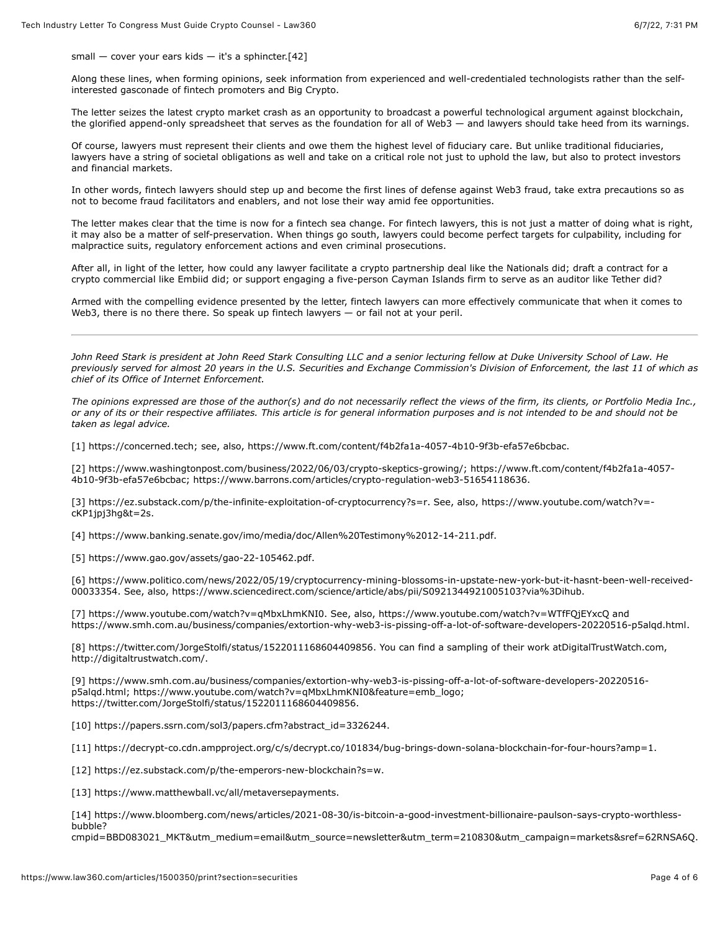small  $-$  cover your ears kids  $-$  it's a sphincter.[42]

Along these lines, when forming opinions, seek information from experienced and well-credentialed technologists rather than the selfinterested gasconade of fintech promoters and Big Crypto.

The letter seizes the latest crypto market crash as an opportunity to broadcast a powerful technological argument against blockchain, the glorified append-only spreadsheet that serves as the foundation for all of Web3 — and lawyers should take heed from its warnings.

Of course, lawyers must represent their clients and owe them the highest level of fiduciary care. But unlike traditional fiduciaries, lawyers have a string of societal obligations as well and take on a critical role not just to uphold the law, but also to protect investors and financial markets.

In other words, fintech lawyers should step up and become the first lines of defense against Web3 fraud, take extra precautions so as not to become fraud facilitators and enablers, and not lose their way amid fee opportunities.

The letter makes clear that the time is now for a fintech sea change. For fintech lawyers, this is not just a matter of doing what is right, it may also be a matter of self-preservation. When things go south, lawyers could become perfect targets for culpability, including for malpractice suits, regulatory enforcement actions and even criminal prosecutions.

After all, in light of the letter, how could any lawyer facilitate a crypto partnership deal like the Nationals did; draft a contract for a crypto commercial like Embiid did; or support engaging a five-person Cayman Islands firm to serve as an auditor like Tether did?

Armed with the compelling evidence presented by the letter, fintech lawyers can more effectively communicate that when it comes to Web3, there is no there there. So speak up fintech lawyers — or fail not at your peril.

*[John Reed Stark](https://www.johnreedstark.com/attorneys/john-reed-stark/) is president at John Reed Stark Consulting LLC and a senior lecturing fellow at Duke University School of Law. He previously served for almost 20 years in the U.S. Securities and Exchange Commission's Division of Enforcement, the last 11 of which as chief of its Office of Internet Enforcement.*

*The opinions expressed are those of the author(s) and do not necessarily reflect the views of the firm, its clients, or Portfolio Media Inc., or any of its or their respective affiliates. This article is for general information purposes and is not intended to be and should not be taken as legal advice.*

[1] [https://concerned.tech;](https://concerned.tech/) see, also, [https://www.ft.com/content/f4b2fa1a-4057-4b10-9f3b-efa57e6bcbac.](https://www.ft.com/content/f4b2fa1a-4057-4b10-9f3b-efa57e6bcbac)

[\[2\]](https://www.ft.com/content/f4b2fa1a-4057-4b10-9f3b-efa57e6bcbac) [https://www.washingtonpost.com/business/2022/06/03/crypto-skeptics-growing](https://www.washingtonpost.com/business/2022/06/03/crypto-skeptics-growing/)[/; https://www.ft.com/content/f4b2fa1a-4057-](https://www.ft.com/content/f4b2fa1a-4057-4b10-9f3b-efa57e6bcbac) 4b10-9f3b-efa57e6bcbac;<https://www.barrons.com/articles/crypto-regulation-web3-51654118636>.

[\[3\]](https://www.youtube.com/watch?v=-cKP1jpj3hg&t=2s) [https://ez.substack.com/p/the-infinite-exploitation-of-cryptocurrency?s=](https://ez.substack.com/p/the-infinite-exploitation-of-cryptocurrency?s=r)[r. See, also, https://www.youtube.com/watch?v=](https://www.youtube.com/watch?v=-cKP1jpj3hg&t=2s) cKP1jpj3hg&t=2s.

[4] [https://www.banking.senate.gov/imo/media/doc/Allen%20Testimony%2012-14-211.pdf.](https://www.banking.senate.gov/imo/media/doc/Allen%20Testimony%2012-14-211.pdf)

[5] [https://www.gao.gov/assets/gao-22-105462.pdf.](https://www.gao.gov/assets/gao-22-105462.pdf)

[\[6\] https://www.politico.com/news/2022/05/19/cryptocurrency-mining-blossoms-in-upstate-new-york-but-it-hasnt-been-well-received-](https://www.politico.com/news/2022/05/19/cryptocurrency-mining-blossoms-in-upstate-new-york-but-it-hasnt-been-well-received-00033354)00033354. See, also, [https://www.sciencedirect.com/science/article/abs/pii/S0921344921005103?via%3Dihub.](https://www.sciencedirect.com/science/article/abs/pii/S0921344921005103?via%3Dihub)

[7] [https://www.youtube.com/watch?v=qMbxLhmKNI0.](https://www.youtube.com/watch?v=qMbxLhmKNI0) See, also,<https://www.youtube.com/watch?v=WTfFQjEYxcQ> and <https://www.smh.com.au/business/companies/extortion-why-web3-is-pissing-off-a-lot-of-software-developers-20220516-p5alqd.html>.

[8]<https://twitter.com/JorgeStolfi/status/1522011168604409856>. You can find a sampling of their work atDigitalTrustWatch.com, <http://digitaltrustwatch.com/>.

[\[9\] https://www.smh.com.au/business/companies/extortion-why-web3-is-pissing-off-a-lot-of-software-developers-20220516](https://www.smh.com.au/business/companies/extortion-why-web3-is-pissing-off-a-lot-of-software-developers-20220516-p5alqd.html) p5alqd.html; [https://www.youtube.com/watch?v=qMbxLhmKNI0&](https://www.youtube.com/watch?v=qMbxLhmKNI0)feature=emb\_logo; [https://twitter.com/JorgeStolfi/status/1522011168604409856.](https://twitter.com/JorgeStolfi/status/1522011168604409856)

[10] [https://papers.ssrn.com/sol3/papers.cfm?abstract\\_id=3326244.](https://papers.ssrn.com/sol3/papers.cfm?abstract_id=3326244)

[11]<https://decrypt-co.cdn.ampproject.org/c/s/decrypt.co/101834/bug-brings-down-solana-blockchain-for-four-hours?amp=1>.

[12]<https://ez.substack.com/p/the-emperors-new-blockchain?s=w>.

[13] [https://www.matthewball.vc/all/metaversepayments.](https://www.matthewball.vc/all/metaversepayments)

[14] https://www.bloomberg.com/news/articles/2021-08-30/is-bitcoin-a-good-investment-billionaire-paulson-says-crypto-worthlessbubble?

[cmpid=BBD083021\\_MKT&utm\\_medium=email&utm\\_source=newsletter&utm\\_term=210830&utm\\_campaign=markets&sref=62RNSA6Q](https://www.bloomberg.com/news/articles/2021-08-30/is-bitcoin-a-good-investment-billionaire-paulson-says-crypto-worthless-bubble?cmpid=BBD083021_MKT&utm_medium=email&utm_source=newsletter&utm_term=210830&utm_campaign=markets&sref=62RNSA6Q).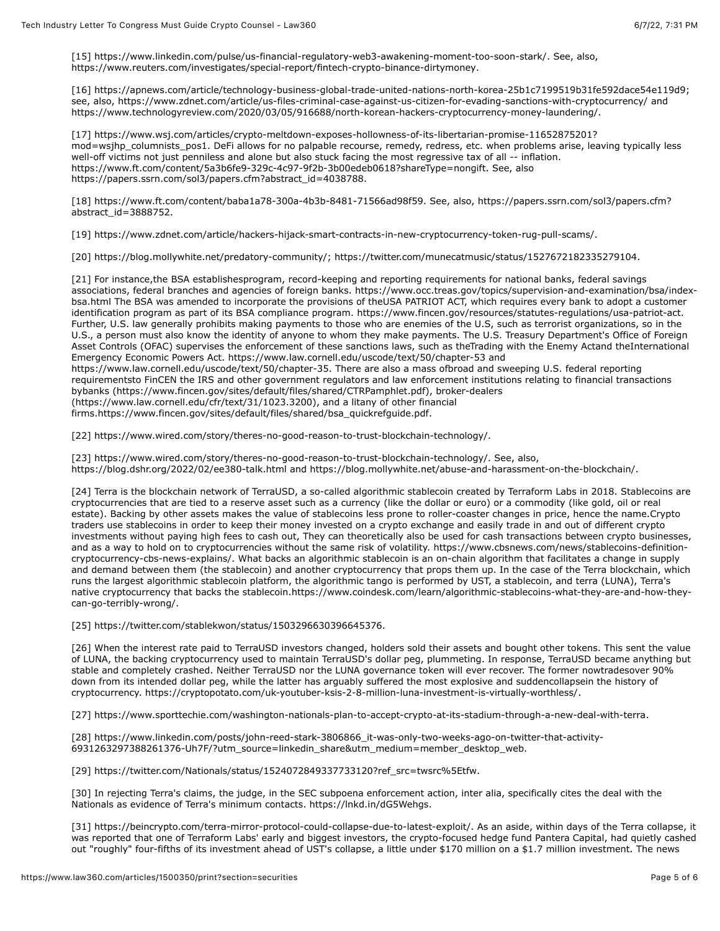[15]<https://www.linkedin.com/pulse/us-financial-regulatory-web3-awakening-moment-too-soon-stark/>. See, also, [https://www.reuters.com/investigates/special-report/fintech-crypto-binance-dirtymoney.](https://www.reuters.com/investigates/special-report/fintech-crypto-binance-dirtymoney)

[16]<https://apnews.com/article/technology-business-global-trade-united-nations-north-korea-25b1c7199519b31fe592dace54e119d9>; see, also,<https://www.zdnet.com/article/us-files-criminal-case-against-us-citizen-for-evading-sanctions-with-cryptocurrency/> and [https://www.technologyreview.com/2020/03/05/916688/north-korean-hackers-cryptocurrency-money-laundering/.](https://www.technologyreview.com/2020/03/05/916688/north-korean-hackers-cryptocurrency-money-laundering/)

[\[17\] https://www.wsj.com/articles/crypto-meltdown-exposes-hollowness-of-its-libertarian-promise-11652875201?](https://www.wsj.com/articles/crypto-meltdown-exposes-hollowness-of-its-libertarian-promise-11652875201?mod=wsjhp_columnists_pos1) mod=wsjhp\_columnists\_pos1. DeFi allows for no palpable recourse, remedy, redress, etc. when problems arise, leaving typically less well-off victims not just penniless and alone but also stuck facing the most regressive tax of all -- inflation. <https://www.ft.com/content/5a3b6fe9-329c-4c97-9f2b-3b00edeb0618?shareType=nongift>. See, also [https://papers.ssrn.com/sol3/papers.cfm?abstract\\_id=4038788](https://papers.ssrn.com/sol3/papers.cfm?abstract_id=4038788).

[\[18\]](https://papers.ssrn.com/sol3/papers.cfm?abstract_id=3888752) [https://www.ft.com/content/baba1a78-300a-4b3b-8481-71566ad98f5](https://www.ft.com/content/baba1a78-300a-4b3b-8481-71566ad98f59)[9. See, also, https://papers.ssrn.com/sol3/papers.cfm?](https://papers.ssrn.com/sol3/papers.cfm?abstract_id=3888752) abstract\_id=3888752.

[19] [https://www.zdnet.com/article/hackers-hijack-smart-contracts-in-new-cryptocurrency-token-rug-pull-scams/.](https://www.zdnet.com/article/hackers-hijack-smart-contracts-in-new-cryptocurrency-token-rug-pull-scams/)

[20]<https://blog.mollywhite.net/predatory-community/>; [https://twitter.com/munecatmusic/status/1527672182335279104.](https://twitter.com/munecatmusic/status/1527672182335279104)

[21] For instance,the BSA establishesprogram, record-keeping and reporting requirements for national banks, federal savings [associations, federal branches and agencies of foreign banks. https://www.occ.treas.gov/topics/supervision-and-examination/bsa/index](https://www.occ.treas.gov/topics/supervision-and-examination/bsa/index-bsa.html)bsa.html The BSA was amended to incorporate the provisions of theUSA PATRIOT ACT, which requires every bank to adopt a customer identification program as part of its BSA compliance program. <https://www.fincen.gov/resources/statutes-regulations/usa-patriot-act>. Further, U.S. law generally prohibits making payments to those who are enemies of the U.S, such as terrorist organizations, so in the U.S., a person must also know the identity of anyone to whom they make payments. The [U.S. Treasury Department](https://www.law360.com/agencies/u-s-department-of-the-treasury)'s Office of Foreign Asset Controls (OFAC) supervises the enforcement of these sanctions laws, such as theTrading with the Enemy Actand theInternational Emergency Economic Powers Act.<https://www.law.cornell.edu/uscode/text/50/chapter-53>and [https://www.law.cornell.edu/uscode/text/50/chapter-35.](https://www.law.cornell.edu/uscode/text/50/chapter-35) There are also a mass ofbroad and sweeping U.S. federal reporting requirementsto FinCEN the [IRS](https://www.law360.com/agencies/internal-revenue-service) and other government regulators and law enforcement institutions relating to financial transactions bybanks [\(https://www.fincen.gov/sites/default/files/shared/CTRPamphlet.pdf\)](https://www.fincen.gov/sites/default/files/shared/CTRPamphlet.pdf), broker-dealers [\(https://www.law.cornell.edu/cfr/text/31/1023.3200\)](https://www.law.cornell.edu/cfr/text/31/1023.3200), and a litany of other financial firms[.https://www.fincen.gov/sites/default/files/shared/bsa\\_quickrefguide.pdf.](https://www.fincen.gov/sites/default/files/shared/bsa_quickrefguide.pdf)

[22] [https://www.wired.com/story/theres-no-good-reason-to-trust-blockchain-technology/.](https://www.wired.com/story/theres-no-good-reason-to-trust-blockchain-technology/)

[23] [https://www.wired.com/story/theres-no-good-reason-to-trust-blockchain-technology/.](https://www.wired.com/story/theres-no-good-reason-to-trust-blockchain-technology/) See, also, <https://blog.dshr.org/2022/02/ee380-talk.html>and <https://blog.mollywhite.net/abuse-and-harassment-on-the-blockchain/>.

[24] Terra is the blockchain network of TerraUSD, a so-called algorithmic stablecoin created by Terraform Labs in 2018. Stablecoins are cryptocurrencies that are tied to a reserve asset such as a currency (like the dollar or euro) or a commodity (like gold, oil or real estate). Backing by other assets makes the value of stablecoins less prone to roller-coaster changes in price, hence the name.Crypto traders use stablecoins in order to keep their money invested on a crypto exchange and easily trade in and out of different crypto investments without paying high fees to cash out, They can theoretically also be used for cash transactions between crypto businesses, [and as a way to hold on to cryptocurrencies without the same risk of volatility. https://www.cbsnews.com/news/stablecoins-definition](https://www.cbsnews.com/news/stablecoins-definition-cryptocurrency-cbs-news-explains/)cryptocurrency-cbs-news-explains/. What backs an algorithmic stablecoin is an on-chain algorithm that facilitates a change in supply and demand between them (the stablecoin) and another cryptocurrency that props them up. In the case of the Terra blockchain, which runs the largest algorithmic stablecoin platform, the algorithmic tango is performed by UST, a stablecoin, and terra (LUNA), Terra's [native cryptocurrency that backs the stablecoin.https://www.coindesk.com/learn/algorithmic-stablecoins-what-they-are-and-how-they](https://www.coindesk.com/learn/algorithmic-stablecoins-what-they-are-and-how-they-can-go-terribly-wrong/)can-go-terribly-wrong/.

[25]<https://twitter.com/stablekwon/status/1503296630396645376>.

[26] When the interest rate paid to TerraUSD investors changed, holders sold their assets and bought other tokens. This sent the value of LUNA, the backing cryptocurrency used to maintain TerraUSD's dollar peg, plummeting. In response, TerraUSD became anything but stable and completely crashed. Neither TerraUSD nor the LUNA governance token will ever recover. The former nowtradesover 90% down from its intended dollar peg, while the latter has arguably suffered the most explosive and suddencollapsein the history of cryptocurrency. [https://cryptopotato.com/uk-youtuber-ksis-2-8-million-luna-investment-is-virtually-worthless/.](https://cryptopotato.com/uk-youtuber-ksis-2-8-million-luna-investment-is-virtually-worthless/)

[27]<https://www.sporttechie.com/washington-nationals-plan-to-accept-crypto-at-its-stadium-through-a-new-deal-with-terra>.

[\[28\] https://www.linkedin.com/posts/john-reed-stark-3806866\\_it-was-only-two-weeks-ago-on-twitter-that-activity-](https://www.linkedin.com/posts/john-reed-stark-3806866_it-was-only-two-weeks-ago-on-twitter-that-activity-6931263297388261376-Uh7F/?utm_source=linkedin_share&utm_medium=member_desktop_web)6931263297388261376-Uh7F/?utm\_source=linkedin\_share&utm\_medium=member\_desktop\_web.

[29] [https://twitter.com/Nationals/status/1524072849337733120?ref\\_src=twsrc%5Etfw.](https://twitter.com/Nationals/status/1524072849337733120?ref_src=twsrc%5Etfw)

[30] In rejecting Terra's claims, the judge, in the SEC subpoena enforcement action, inter alia, specifically cites the deal with the Nationals as evidence of Terra's minimum contacts. [https://lnkd.in/dG5Wehgs.](https://lnkd.in/dG5Wehgs)

[31]<https://beincrypto.com/terra-mirror-protocol-could-collapse-due-to-latest-exploit/>. As an aside, within days of the Terra collapse, it was reported that one of Terraform Labs' early and biggest investors, the crypto-focused hedge fund [Pantera Capital](https://www.law360.com/companies/pantera-capital-management-lp), had quietly cashed out "roughly" four-fifths of its investment ahead of UST's collapse, a little under \$170 million on a \$1.7 million investment. The news